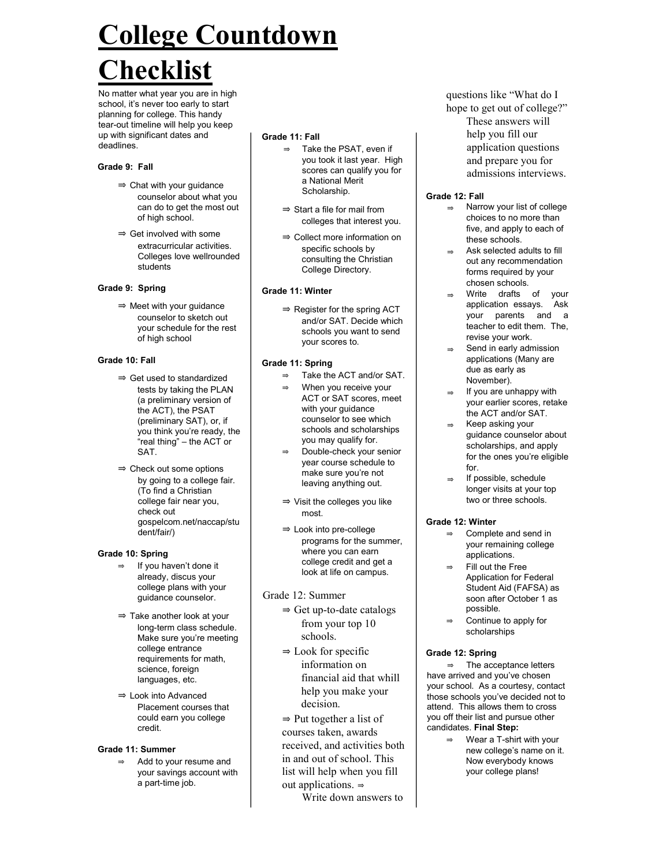# College Countdown

# Checklist

No matter what year you are in high school, it's never too early to start planning for college. This handy tear-out timeline will help you keep up with significant dates and deadlines.

#### Grade 9: Fall

- ⇒ Chat with your guidance counselor about what you can do to get the most out of high school.
- ⇒ Get involved with some extracurricular activities. Colleges love wellrounded students

#### Grade 9: Spring

⇒ Meet with your guidance counselor to sketch out your schedule for the rest of high school

#### Grade 10: Fall

- ⇒ Get used to standardized tests by taking the PLAN (a preliminary version of the ACT), the PSAT (preliminary SAT), or, if you think you're ready, the "real thing" – the ACT or SAT.
- ⇒ Check out some options by going to a college fair. (To find a Christian college fair near you, check out gospelcom.net/naccap/stu dent/fair/)

# Grade 10: Spring

- If you haven't done it already, discus your college plans with your guidance counselor.
- ⇒ Take another look at your long-term class schedule. Make sure you're meeting college entrance requirements for math. science, foreign languages, etc.
- ⇒ Look into Advanced Placement courses that could earn you college credit.

#### Grade 11: Summer

Add to your resume and your savings account with a part-time job.

#### Grade 11: Fall

- ⇒ Take the PSAT, even if you took it last year. High scores can qualify you for a National Merit Scholarship.
- ⇒ Start a file for mail from colleges that interest you.
- ⇒ Collect more information on specific schools by consulting the Christian College Directory.

#### Grade 11: Winter

⇒ Register for the spring ACT and/or SAT. Decide which schools you want to send your scores to.

#### Grade 11: Spring

- ⇒ Take the ACT and/or SAT.
	- When you receive your ACT or SAT scores, meet with your guidance counselor to see which schools and scholarships you may qualify for.
- ⇒ Double-check your senior year course schedule to make sure you're not leaving anything out.
- ⇒ Visit the colleges you like most.
- ⇒ Look into pre-college programs for the summer, where you can earn college credit and get a look at life on campus.
- Grade 12: Summer
	- ⇒ Get up-to-date catalogs from your top 10 schools.
	- $\Rightarrow$  Look for specific information on financial aid that whill help you make your decision.
	- $\Rightarrow$  Put together a list of courses taken, awards received, and activities both in and out of school. This list will help when you fill out applications. ⇒

Write down answers to

questions like "What do I hope to get out of college?" These answers will help you fill our application questions and prepare you for admissions interviews.

### Grade 12: Fall

- ⇒ Narrow your list of college choices to no more than five, and apply to each of these schools.
- Ask selected adults to fill out any recommendation forms required by your chosen schools.
- Write drafts of your application essays. Ask your parents and a teacher to edit them. The, revise your work.
- Send in early admission applications (Many are due as early as November).
- If you are unhappy with your earlier scores, retake the ACT and/or SAT.
- Keep asking your guidance counselor about scholarships, and apply for the ones you're eligible for.
- If possible, schedule longer visits at your top two or three schools.

# Grade 12: Winter

- Complete and send in your remaining college applications.
- Fill out the Free Application for Federal Student Aid (FAFSA) as soon after October 1 as possible.
- Continue to apply for scholarships

#### Grade 12: Spring

⇒ The acceptance letters have arrived and you've chosen your school. As a courtesy, contact those schools you've decided not to attend. This allows them to cross you off their list and pursue other candidates. Final Step:

> ⇒ Wear a T-shirt with your new college's name on it. Now everybody knows your college plans!